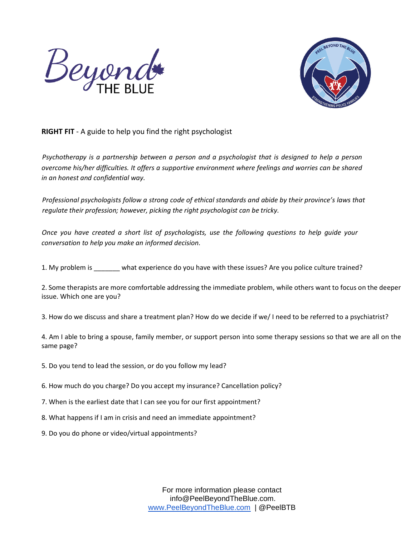



## **RIGHT FIT** - A guide to help you find the right psychologist

*Psychotherapy is a partnership between a person and a psychologist that is designed to help a person overcome his/her difficulties. It offers a supportive environment where feelings and worries can be shared in an honest and confidential way.* 

*Professional psychologists follow a strong code of ethical standards and abide by their province's laws that regulate their profession; however, picking the right psychologist can be tricky.* 

*Once you have created a short list of psychologists, use the following questions to help guide your conversation to help you make an informed decision.* 

1. My problem is \_\_\_\_\_\_\_ what experience do you have with these issues? Are you police culture trained?

2. Some therapists are more comfortable addressing the immediate problem, while others want to focus on the deeper issue. Which one are you?

3. How do we discuss and share a treatment plan? How do we decide if we/ I need to be referred to a psychiatrist?

4. Am I able to bring a spouse, family member, or support person into some therapy sessions so that we are all on the same page?

- 5. Do you tend to lead the session, or do you follow my lead?
- 6. How much do you charge? Do you accept my insurance? Cancellation policy?
- 7. When is the earliest date that I can see you for our first appointment?
- 8. What happens if I am in crisis and need an immediate appointment?
- 9. Do you do phone or video/virtual appointments?

For more information please contact info@PeelBeyondTheBlue.com. [www.PeelBeyondTheBlue.com](http://www.peelbeyondtheblue.com/) | @PeelBTB